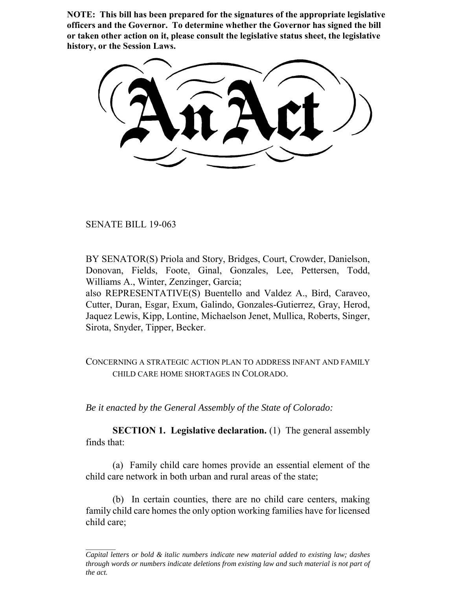**NOTE: This bill has been prepared for the signatures of the appropriate legislative officers and the Governor. To determine whether the Governor has signed the bill or taken other action on it, please consult the legislative status sheet, the legislative history, or the Session Laws.**

SENATE BILL 19-063

BY SENATOR(S) Priola and Story, Bridges, Court, Crowder, Danielson, Donovan, Fields, Foote, Ginal, Gonzales, Lee, Pettersen, Todd, Williams A., Winter, Zenzinger, Garcia;

also REPRESENTATIVE(S) Buentello and Valdez A., Bird, Caraveo, Cutter, Duran, Esgar, Exum, Galindo, Gonzales-Gutierrez, Gray, Herod, Jaquez Lewis, Kipp, Lontine, Michaelson Jenet, Mullica, Roberts, Singer, Sirota, Snyder, Tipper, Becker.

CONCERNING A STRATEGIC ACTION PLAN TO ADDRESS INFANT AND FAMILY CHILD CARE HOME SHORTAGES IN COLORADO.

*Be it enacted by the General Assembly of the State of Colorado:*

**SECTION 1. Legislative declaration.** (1) The general assembly finds that:

(a) Family child care homes provide an essential element of the child care network in both urban and rural areas of the state;

(b) In certain counties, there are no child care centers, making family child care homes the only option working families have for licensed child care;

*Capital letters or bold & italic numbers indicate new material added to existing law; dashes through words or numbers indicate deletions from existing law and such material is not part of the act.*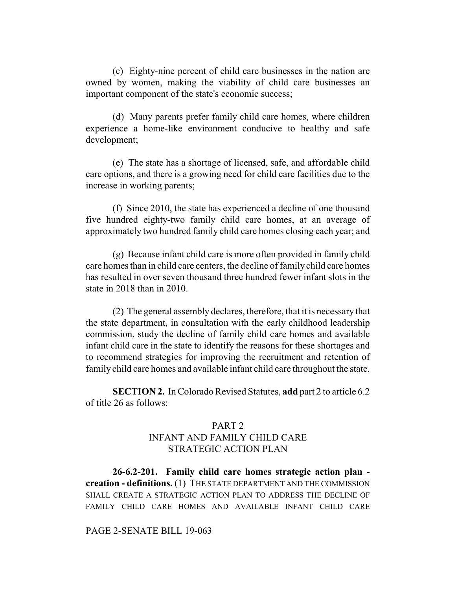(c) Eighty-nine percent of child care businesses in the nation are owned by women, making the viability of child care businesses an important component of the state's economic success;

(d) Many parents prefer family child care homes, where children experience a home-like environment conducive to healthy and safe development;

(e) The state has a shortage of licensed, safe, and affordable child care options, and there is a growing need for child care facilities due to the increase in working parents;

(f) Since 2010, the state has experienced a decline of one thousand five hundred eighty-two family child care homes, at an average of approximately two hundred family child care homes closing each year; and

(g) Because infant child care is more often provided in family child care homes than in child care centers, the decline of family child care homes has resulted in over seven thousand three hundred fewer infant slots in the state in 2018 than in 2010.

(2) The general assembly declares, therefore, that it is necessary that the state department, in consultation with the early childhood leadership commission, study the decline of family child care homes and available infant child care in the state to identify the reasons for these shortages and to recommend strategies for improving the recruitment and retention of family child care homes and available infant child care throughout the state.

**SECTION 2.** In Colorado Revised Statutes, **add** part 2 to article 6.2 of title 26 as follows:

## PART 2 INFANT AND FAMILY CHILD CARE STRATEGIC ACTION PLAN

**26-6.2-201. Family child care homes strategic action plan creation - definitions.** (1) THE STATE DEPARTMENT AND THE COMMISSION SHALL CREATE A STRATEGIC ACTION PLAN TO ADDRESS THE DECLINE OF FAMILY CHILD CARE HOMES AND AVAILABLE INFANT CHILD CARE

## PAGE 2-SENATE BILL 19-063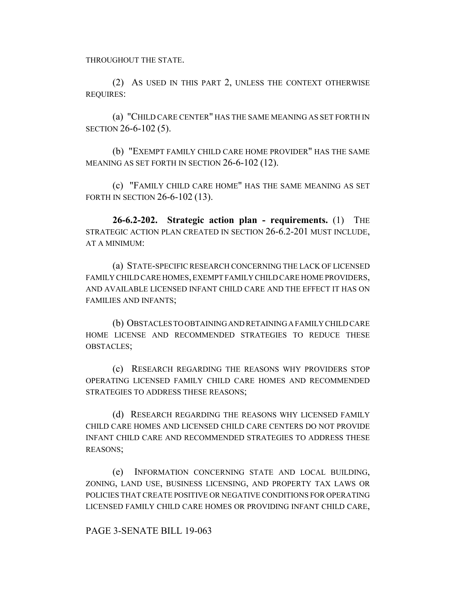THROUGHOUT THE STATE.

(2) AS USED IN THIS PART 2, UNLESS THE CONTEXT OTHERWISE REQUIRES:

(a) "CHILD CARE CENTER" HAS THE SAME MEANING AS SET FORTH IN SECTION 26-6-102 (5).

(b) "EXEMPT FAMILY CHILD CARE HOME PROVIDER" HAS THE SAME MEANING AS SET FORTH IN SECTION 26-6-102 (12).

(c) "FAMILY CHILD CARE HOME" HAS THE SAME MEANING AS SET FORTH IN SECTION 26-6-102 (13).

**26-6.2-202. Strategic action plan - requirements.** (1) THE STRATEGIC ACTION PLAN CREATED IN SECTION 26-6.2-201 MUST INCLUDE, AT A MINIMUM:

(a) STATE-SPECIFIC RESEARCH CONCERNING THE LACK OF LICENSED FAMILY CHILD CARE HOMES, EXEMPT FAMILY CHILD CARE HOME PROVIDERS, AND AVAILABLE LICENSED INFANT CHILD CARE AND THE EFFECT IT HAS ON FAMILIES AND INFANTS;

(b) OBSTACLES TO OBTAINING AND RETAINING A FAMILY CHILD CARE HOME LICENSE AND RECOMMENDED STRATEGIES TO REDUCE THESE OBSTACLES;

(c) RESEARCH REGARDING THE REASONS WHY PROVIDERS STOP OPERATING LICENSED FAMILY CHILD CARE HOMES AND RECOMMENDED STRATEGIES TO ADDRESS THESE REASONS;

(d) RESEARCH REGARDING THE REASONS WHY LICENSED FAMILY CHILD CARE HOMES AND LICENSED CHILD CARE CENTERS DO NOT PROVIDE INFANT CHILD CARE AND RECOMMENDED STRATEGIES TO ADDRESS THESE REASONS;

(e) INFORMATION CONCERNING STATE AND LOCAL BUILDING, ZONING, LAND USE, BUSINESS LICENSING, AND PROPERTY TAX LAWS OR POLICIES THAT CREATE POSITIVE OR NEGATIVE CONDITIONS FOR OPERATING LICENSED FAMILY CHILD CARE HOMES OR PROVIDING INFANT CHILD CARE,

## PAGE 3-SENATE BILL 19-063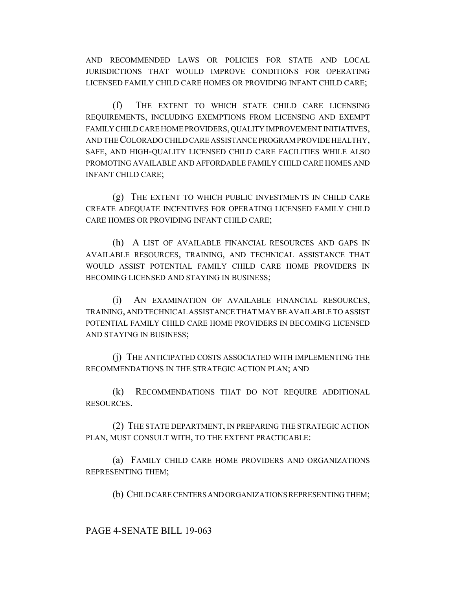AND RECOMMENDED LAWS OR POLICIES FOR STATE AND LOCAL JURISDICTIONS THAT WOULD IMPROVE CONDITIONS FOR OPERATING LICENSED FAMILY CHILD CARE HOMES OR PROVIDING INFANT CHILD CARE;

(f) THE EXTENT TO WHICH STATE CHILD CARE LICENSING REQUIREMENTS, INCLUDING EXEMPTIONS FROM LICENSING AND EXEMPT FAMILY CHILD CARE HOME PROVIDERS, QUALITY IMPROVEMENT INITIATIVES, AND THE COLORADO CHILD CARE ASSISTANCE PROGRAM PROVIDE HEALTHY, SAFE, AND HIGH-QUALITY LICENSED CHILD CARE FACILITIES WHILE ALSO PROMOTING AVAILABLE AND AFFORDABLE FAMILY CHILD CARE HOMES AND INFANT CHILD CARE;

(g) THE EXTENT TO WHICH PUBLIC INVESTMENTS IN CHILD CARE CREATE ADEQUATE INCENTIVES FOR OPERATING LICENSED FAMILY CHILD CARE HOMES OR PROVIDING INFANT CHILD CARE;

(h) A LIST OF AVAILABLE FINANCIAL RESOURCES AND GAPS IN AVAILABLE RESOURCES, TRAINING, AND TECHNICAL ASSISTANCE THAT WOULD ASSIST POTENTIAL FAMILY CHILD CARE HOME PROVIDERS IN BECOMING LICENSED AND STAYING IN BUSINESS;

(i) AN EXAMINATION OF AVAILABLE FINANCIAL RESOURCES, TRAINING, AND TECHNICAL ASSISTANCE THAT MAY BE AVAILABLE TO ASSIST POTENTIAL FAMILY CHILD CARE HOME PROVIDERS IN BECOMING LICENSED AND STAYING IN BUSINESS;

(j) THE ANTICIPATED COSTS ASSOCIATED WITH IMPLEMENTING THE RECOMMENDATIONS IN THE STRATEGIC ACTION PLAN; AND

(k) RECOMMENDATIONS THAT DO NOT REQUIRE ADDITIONAL RESOURCES.

(2) THE STATE DEPARTMENT, IN PREPARING THE STRATEGIC ACTION PLAN, MUST CONSULT WITH, TO THE EXTENT PRACTICABLE:

(a) FAMILY CHILD CARE HOME PROVIDERS AND ORGANIZATIONS REPRESENTING THEM;

(b) CHILD CARE CENTERS AND ORGANIZATIONS REPRESENTING THEM;

PAGE 4-SENATE BILL 19-063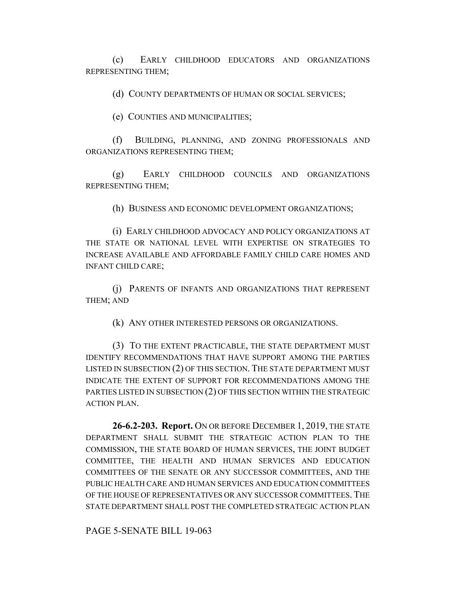(c) EARLY CHILDHOOD EDUCATORS AND ORGANIZATIONS REPRESENTING THEM;

(d) COUNTY DEPARTMENTS OF HUMAN OR SOCIAL SERVICES;

(e) COUNTIES AND MUNICIPALITIES;

(f) BUILDING, PLANNING, AND ZONING PROFESSIONALS AND ORGANIZATIONS REPRESENTING THEM;

(g) EARLY CHILDHOOD COUNCILS AND ORGANIZATIONS REPRESENTING THEM;

(h) BUSINESS AND ECONOMIC DEVELOPMENT ORGANIZATIONS;

(i) EARLY CHILDHOOD ADVOCACY AND POLICY ORGANIZATIONS AT THE STATE OR NATIONAL LEVEL WITH EXPERTISE ON STRATEGIES TO INCREASE AVAILABLE AND AFFORDABLE FAMILY CHILD CARE HOMES AND INFANT CHILD CARE;

(j) PARENTS OF INFANTS AND ORGANIZATIONS THAT REPRESENT THEM; AND

(k) ANY OTHER INTERESTED PERSONS OR ORGANIZATIONS.

(3) TO THE EXTENT PRACTICABLE, THE STATE DEPARTMENT MUST IDENTIFY RECOMMENDATIONS THAT HAVE SUPPORT AMONG THE PARTIES LISTED IN SUBSECTION (2) OF THIS SECTION. THE STATE DEPARTMENT MUST INDICATE THE EXTENT OF SUPPORT FOR RECOMMENDATIONS AMONG THE PARTIES LISTED IN SUBSECTION (2) OF THIS SECTION WITHIN THE STRATEGIC ACTION PLAN.

**26-6.2-203. Report.** ON OR BEFORE DECEMBER 1, 2019, THE STATE DEPARTMENT SHALL SUBMIT THE STRATEGIC ACTION PLAN TO THE COMMISSION, THE STATE BOARD OF HUMAN SERVICES, THE JOINT BUDGET COMMITTEE, THE HEALTH AND HUMAN SERVICES AND EDUCATION COMMITTEES OF THE SENATE OR ANY SUCCESSOR COMMITTEES, AND THE PUBLIC HEALTH CARE AND HUMAN SERVICES AND EDUCATION COMMITTEES OF THE HOUSE OF REPRESENTATIVES OR ANY SUCCESSOR COMMITTEES. THE STATE DEPARTMENT SHALL POST THE COMPLETED STRATEGIC ACTION PLAN

PAGE 5-SENATE BILL 19-063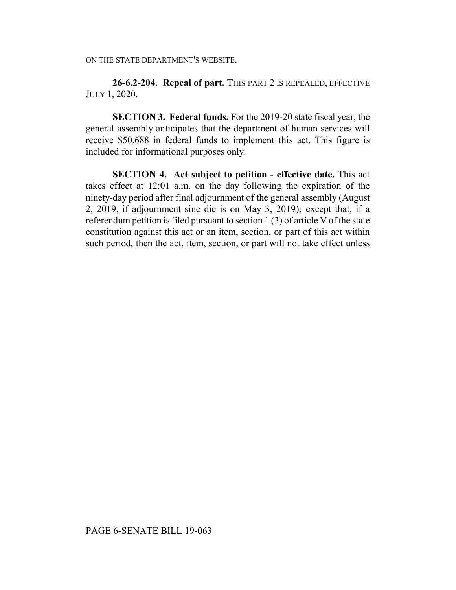**26-6.2-204. Repeal of part.** THIS PART 2 IS REPEALED, EFFECTIVE JULY 1, 2020.

**SECTION 3. Federal funds.** For the 2019-20 state fiscal year, the general assembly anticipates that the department of human services will receive \$50,688 in federal funds to implement this act. This figure is included for informational purposes only.

**SECTION 4. Act subject to petition - effective date.** This act takes effect at 12:01 a.m. on the day following the expiration of the ninety-day period after final adjournment of the general assembly (August 2, 2019, if adjournment sine die is on May 3, 2019); except that, if a referendum petition is filed pursuant to section 1 (3) of article V of the state constitution against this act or an item, section, or part of this act within such period, then the act, item, section, or part will not take effect unless